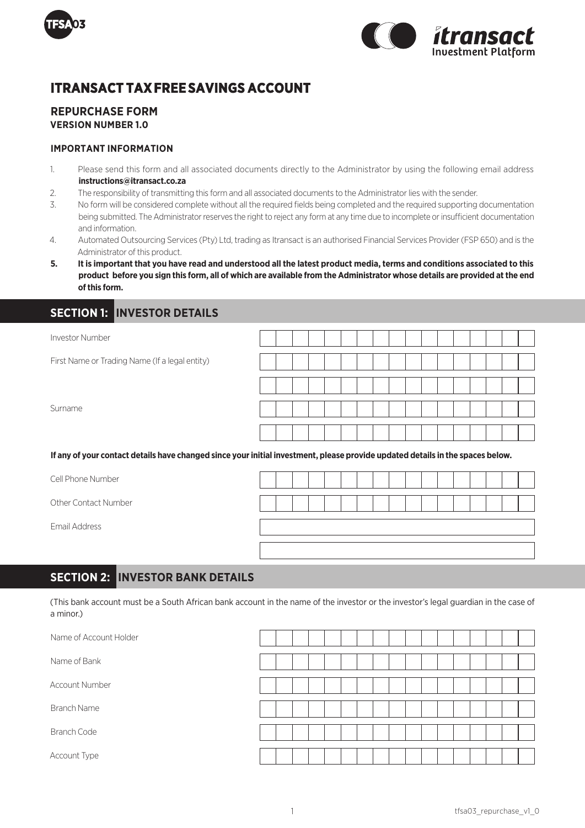



# **ITRANSACT TAX FREE SAVINGS ACCOUNT**

### **REPURCHASE FORM VERSION NUMBER 1.0**

### **IMPORTANT INFORMATION**

- 1. Please send this form and all associated documents directly to the Administrator by using the following email address **instructions@itransact.co.za**
- 2. The responsibility of transmitting this form and all associated documents to the Administrator lies with the sender.
- 3. No form will be considered complete without all the required fields being completed and the required supporting documentation being submitted. The Administrator reserves the right to reject any form at any time due to incomplete or insufficient documentation and information.
- 4. Automated Outsourcing Services (Pty) Ltd, trading as Itransact is an authorised Financial Services Provider (FSP 650) and is the Administrator of this product.
- **5. It is important that you have read and understood all the latest product media, terms and conditions associated to this product before you sign this form, all of which are available from the Administrator whose details are provided at the end of this form.**

### **SECTION 1: INVESTOR DETAILS**

| Investor Number                                                                                                                |  |  |  |  |  |  |  |  |  |
|--------------------------------------------------------------------------------------------------------------------------------|--|--|--|--|--|--|--|--|--|
| First Name or Trading Name (If a legal entity)                                                                                 |  |  |  |  |  |  |  |  |  |
|                                                                                                                                |  |  |  |  |  |  |  |  |  |
| Surname                                                                                                                        |  |  |  |  |  |  |  |  |  |
|                                                                                                                                |  |  |  |  |  |  |  |  |  |
| If any of your contact details have changed since your initial investment, please provide updated details in the spaces below. |  |  |  |  |  |  |  |  |  |

| Cell Phone Number    |  |  |  |  |  |  |  |  |  |
|----------------------|--|--|--|--|--|--|--|--|--|
| Other Contact Number |  |  |  |  |  |  |  |  |  |
| Email Address        |  |  |  |  |  |  |  |  |  |
|                      |  |  |  |  |  |  |  |  |  |

## **SECTION 2: INVESTOR BANK DETAILS**

(This bank account must be a South African bank account in the name of the investor or the investor's legal guardian in the case of a minor.)

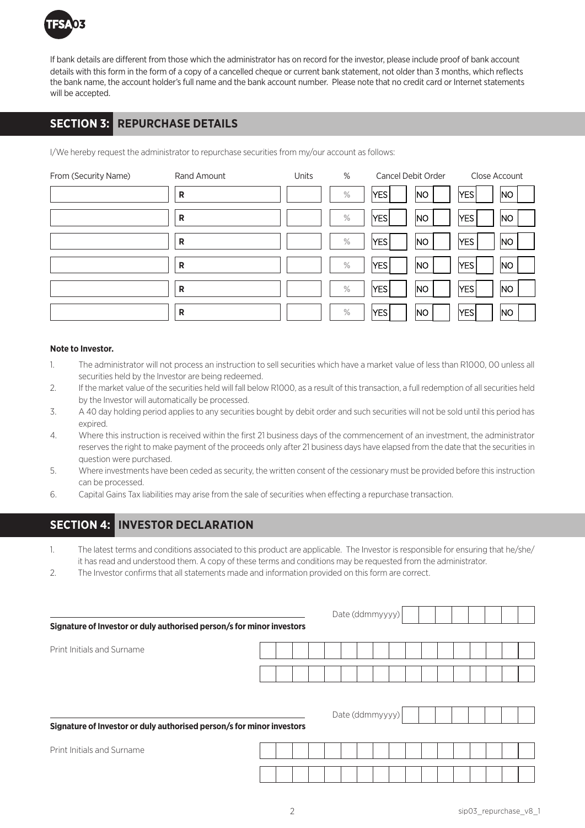

If bank details are different from those which the administrator has on record for the investor, please include proof of bank account details with this form in the form of a copy of a cancelled cheque or current bank statement, not older than 3 months, which reflects the bank name, the account holder's full name and the bank account number. Please note that no credit card or Internet statements will be accepted.

## **SECTION 3: REPURCHASE DETAILS**

I/We hereby request the administrator to repurchase securities from my/our account as follows:

| From (Security Name) | Rand Amount  | Units | %    | Cancel Debit Order      | Close Account                |
|----------------------|--------------|-------|------|-------------------------|------------------------------|
|                      | $\mathsf{R}$ |       | $\%$ | YES.<br> NO             | $ {\sf YES} $<br> NO         |
|                      | R            |       | $\%$ | YES<br> NO              | YES<br> NO                   |
|                      | $\mathsf{R}$ |       | $\%$ | NO<br>YES               | <b>YES</b><br>N <sub>O</sub> |
|                      | $\mathsf{R}$ |       | $\%$ | YES<br> NO              | <b>YES</b><br> NO            |
|                      | R            |       | $\%$ | $ \mathsf{YES} $<br> NO | YES<br> NO                   |
|                      | R            |       | $\%$ | $ {\sf YES} $<br> No    | YES<br> NO                   |

### **Note to Investor.**

- 1. The administrator will not process an instruction to sell securities which have a market value of less than R1000, 00 unless all securities held by the Investor are being redeemed.
- 2. If the market value of the securities held will fall below R1000, as a result of this transaction, a full redemption of all securities held by the Investor will automatically be processed.
- 3. A 40 day holding period applies to any securities bought by debit order and such securities will not be sold until this period has expired.
- 4. Where this instruction is received within the first 21 business days of the commencement of an investment, the administrator reserves the right to make payment of the proceeds only after 21 business days have elapsed from the date that the securities in question were purchased.
- 5. Where investments have been ceded as security, the written consent of the cessionary must be provided before this instruction can be processed.
- 6. Capital Gains Tax liabilities may arise from the sale of securities when effecting a repurchase transaction.

### **SECTION 4: INVESTOR DECLARATION**

- 1. The latest terms and conditions associated to this product are applicable. The Investor is responsible for ensuring that he/she/ it has read and understood them. A copy of these terms and conditions may be requested from the administrator.
- 2. The Investor confirms that all statements made and information provided on this form are correct.

|                                                                       |  |  | Date (ddmmyyyy) |  |  |  |  |  |  |
|-----------------------------------------------------------------------|--|--|-----------------|--|--|--|--|--|--|
| Signature of Investor or duly authorised person/s for minor investors |  |  |                 |  |  |  |  |  |  |
| Print Initials and Surname                                            |  |  |                 |  |  |  |  |  |  |
|                                                                       |  |  |                 |  |  |  |  |  |  |
|                                                                       |  |  |                 |  |  |  |  |  |  |
|                                                                       |  |  | Date (ddmmyyyy) |  |  |  |  |  |  |
| Signature of Investor or duly authorised person/s for minor investors |  |  |                 |  |  |  |  |  |  |
| Print Initials and Surname                                            |  |  |                 |  |  |  |  |  |  |
|                                                                       |  |  |                 |  |  |  |  |  |  |